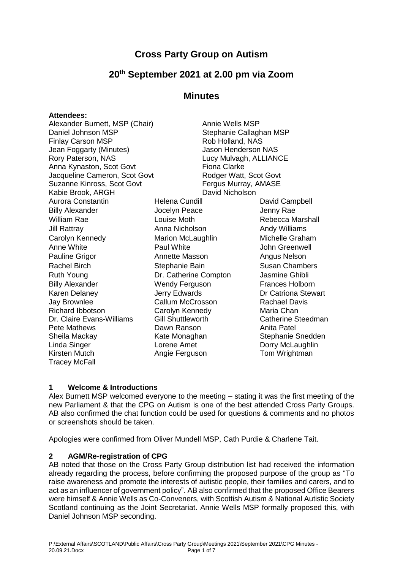# **Cross Party Group on Autism**

# **20th September 2021 at 2.00 pm via Zoom**

## **Minutes**

#### **Attendees:**

| Alexander Burnett, MSP (Chair) |                          | Annie Wells MSP         |                        |  |
|--------------------------------|--------------------------|-------------------------|------------------------|--|
| Daniel Johnson MSP             |                          | Stephanie Callaghan MSP |                        |  |
| <b>Finlay Carson MSP</b>       |                          | Rob Holland, NAS        |                        |  |
| Jean Foggarty (Minutes)        |                          | Jason Henderson NAS     |                        |  |
| Rory Paterson, NAS             |                          | Lucy Mulvagh, ALLIANCE  |                        |  |
| Anna Kynaston, Scot Govt       |                          | <b>Fiona Clarke</b>     |                        |  |
| Jacqueline Cameron, Scot Govt  |                          | Rodger Watt, Scot Govt  |                        |  |
| Suzanne Kinross, Scot Govt     |                          | Fergus Murray, AMASE    |                        |  |
| Kabie Brook, ARGH              |                          | David Nicholson         |                        |  |
| Aurora Constantin              | Helena Cundill           |                         | David Campbell         |  |
| <b>Billy Alexander</b>         | Jocelyn Peace            |                         | Jenny Rae              |  |
| William Rae                    | Louise Moth              |                         | Rebecca Marshall       |  |
| Jill Rattray                   | Anna Nicholson           |                         | <b>Andy Williams</b>   |  |
| Carolyn Kennedy                | Marion McLaughlin        |                         | Michelle Graham        |  |
| Anne White                     | Paul White               |                         | John Greenwell         |  |
| Pauline Grigor                 | <b>Annette Masson</b>    |                         | Angus Nelson           |  |
| Rachel Birch                   | Stephanie Bain           |                         | <b>Susan Chambers</b>  |  |
| Ruth Young                     | Dr. Catherine Compton    |                         | Jasmine Ghibli         |  |
| <b>Billy Alexander</b>         | Wendy Ferguson           |                         | <b>Frances Holborn</b> |  |
| Karen Delaney                  | Jerry Edwards            |                         | Dr Catriona Stewart    |  |
| Jay Brownlee                   | Callum McCrosson         |                         | <b>Rachael Davis</b>   |  |
| <b>Richard Ibbotson</b>        | Carolyn Kennedy          |                         | Maria Chan             |  |
| Dr. Claire Evans-Williams      | <b>Gill Shuttleworth</b> |                         | Catherine Steedman     |  |
| Pete Mathews                   | Dawn Ranson              |                         | Anita Patel            |  |
| Sheila Mackay                  | Kate Monaghan            |                         | Stephanie Snedden      |  |
| Linda Singer                   | Lorene Amet              |                         | Dorry McLaughlin       |  |
| Kirsten Mutch                  | Angie Ferguson           |                         | Tom Wrightman          |  |

#### **1 Welcome & Introductions**

Tracey McFall

Alex Burnett MSP welcomed everyone to the meeting – stating it was the first meeting of the new Parliament & that the CPG on Autism is one of the best attended Cross Party Groups. AB also confirmed the chat function could be used for questions & comments and no photos or screenshots should be taken.

Apologies were confirmed from Oliver Mundell MSP, Cath Purdie & Charlene Tait.

#### **2 AGM/Re-registration of CPG**

AB noted that those on the Cross Party Group distribution list had received the information already regarding the process, before confirming the proposed purpose of the group as "To raise awareness and promote the interests of autistic people, their families and carers, and to act as an influencer of government policy". AB also confirmed that the proposed Office Bearers were himself & Annie Wells as Co-Conveners, with Scottish Autism & National Autistic Society Scotland continuing as the Joint Secretariat. Annie Wells MSP formally proposed this, with Daniel Johnson MSP seconding.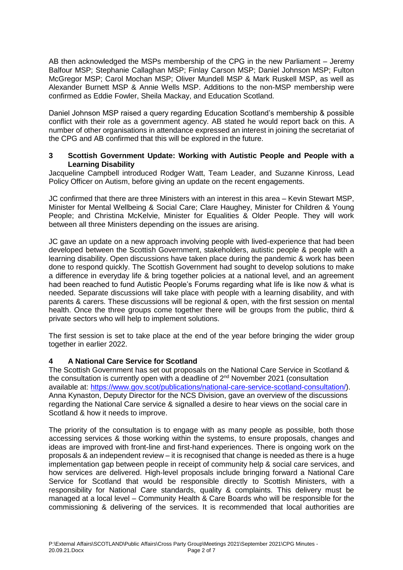AB then acknowledged the MSPs membership of the CPG in the new Parliament – Jeremy Balfour MSP; Stephanie Callaghan MSP; Finlay Carson MSP; Daniel Johnson MSP; Fulton McGregor MSP; Carol Mochan MSP; Oliver Mundell MSP & Mark Ruskell MSP, as well as Alexander Burnett MSP & Annie Wells MSP. Additions to the non-MSP membership were confirmed as Eddie Fowler, Sheila Mackay, and Education Scotland.

Daniel Johnson MSP raised a query regarding Education Scotland's membership & possible conflict with their role as a government agency. AB stated he would report back on this. A number of other organisations in attendance expressed an interest in joining the secretariat of the CPG and AB confirmed that this will be explored in the future.

#### **3 Scottish Government Update: Working with Autistic People and People with a Learning Disability**

Jacqueline Campbell introduced Rodger Watt, Team Leader, and Suzanne Kinross, Lead Policy Officer on Autism, before giving an update on the recent engagements.

JC confirmed that there are three Ministers with an interest in this area – Kevin Stewart MSP, Minister for Mental Wellbeing & Social Care; Clare Haughey, Minister for Children & Young People; and Christina McKelvie, Minister for Equalities & Older People. They will work between all three Ministers depending on the issues are arising.

JC gave an update on a new approach involving people with lived-experience that had been developed between the Scottish Government, stakeholders, autistic people & people with a learning disability. Open discussions have taken place during the pandemic & work has been done to respond quickly. The Scottish Government had sought to develop solutions to make a difference in everyday life & bring together policies at a national level, and an agreement had been reached to fund Autistic People's Forums regarding what life is like now & what is needed. Separate discussions will take place with people with a learning disability, and with parents & carers. These discussions will be regional & open, with the first session on mental health. Once the three groups come together there will be groups from the public, third & private sectors who will help to implement solutions.

The first session is set to take place at the end of the year before bringing the wider group together in earlier 2022.

#### **4 A National Care Service for Scotland**

The Scottish Government has set out proposals on the National Care Service in Scotland & the consultation is currently open with a deadline of  $2<sup>nd</sup>$  November 2021 (consultation available at: [https://www.gov.scot/publications/national-care-service-scotland-consultation/\)](https://www.gov.scot/publications/national-care-service-scotland-consultation/). Anna Kynaston, Deputy Director for the NCS Division, gave an overview of the discussions regarding the National Care service & signalled a desire to hear views on the social care in Scotland & how it needs to improve.

The priority of the consultation is to engage with as many people as possible, both those accessing services & those working within the systems, to ensure proposals, changes and ideas are improved with front-line and first-hand experiences. There is ongoing work on the proposals & an independent review – it is recognised that change is needed as there is a huge implementation gap between people in receipt of community help & social care services, and how services are delivered. High-level proposals include bringing forward a National Care Service for Scotland that would be responsible directly to Scottish Ministers, with a responsibility for National Care standards, quality & complaints. This delivery must be managed at a local level – Community Health & Care Boards who will be responsible for the commissioning & delivering of the services. It is recommended that local authorities are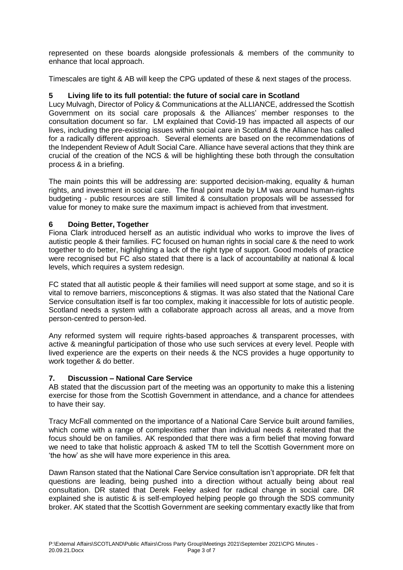represented on these boards alongside professionals & members of the community to enhance that local approach.

Timescales are tight & AB will keep the CPG updated of these & next stages of the process.

#### **5 Living life to its full potential: the future of social care in Scotland**

Lucy Mulvagh, Director of Policy & Communications at the ALLIANCE, addressed the Scottish Government on its social care proposals & the Alliances' member responses to the consultation document so far. LM explained that Covid-19 has impacted all aspects of our lives, including the pre-existing issues within social care in Scotland & the Alliance has called for a radically different approach. Several elements are based on the recommendations of the Independent Review of Adult Social Care. Alliance have several actions that they think are crucial of the creation of the NCS & will be highlighting these both through the consultation process & in a briefing.

The main points this will be addressing are: supported decision-making, equality & human rights, and investment in social care. The final point made by LM was around human-rights budgeting - public resources are still limited & consultation proposals will be assessed for value for money to make sure the maximum impact is achieved from that investment.

#### **6 Doing Better, Together**

Fiona Clark introduced herself as an autistic individual who works to improve the lives of autistic people & their families. FC focused on human rights in social care & the need to work together to do better, highlighting a lack of the right type of support. Good models of practice were recognised but FC also stated that there is a lack of accountability at national & local levels, which requires a system redesign.

FC stated that all autistic people & their families will need support at some stage, and so it is vital to remove barriers, misconceptions & stigmas. It was also stated that the National Care Service consultation itself is far too complex, making it inaccessible for lots of autistic people. Scotland needs a system with a collaborate approach across all areas, and a move from person-centred to person-led.

Any reformed system will require rights-based approaches & transparent processes, with active & meaningful participation of those who use such services at every level. People with lived experience are the experts on their needs & the NCS provides a huge opportunity to work together & do better.

### **7. Discussion – National Care Service**

AB stated that the discussion part of the meeting was an opportunity to make this a listening exercise for those from the Scottish Government in attendance, and a chance for attendees to have their say.

Tracy McFall commented on the importance of a National Care Service built around families, which come with a range of complexities rather than individual needs & reiterated that the focus should be on families. AK responded that there was a firm belief that moving forward we need to take that holistic approach & asked TM to tell the Scottish Government more on 'the how' as she will have more experience in this area.

Dawn Ranson stated that the National Care Service consultation isn't appropriate. DR felt that questions are leading, being pushed into a direction without actually being about real consultation. DR stated that Derek Feeley asked for radical change in social care. DR explained she is autistic & is self-employed helping people go through the SDS community broker. AK stated that the Scottish Government are seeking commentary exactly like that from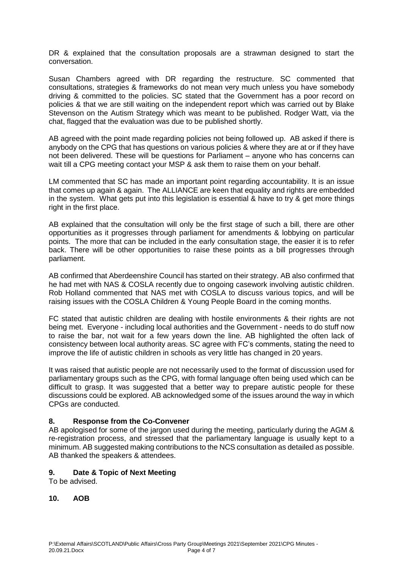DR & explained that the consultation proposals are a strawman designed to start the conversation.

Susan Chambers agreed with DR regarding the restructure. SC commented that consultations, strategies & frameworks do not mean very much unless you have somebody driving & committed to the policies. SC stated that the Government has a poor record on policies & that we are still waiting on the independent report which was carried out by Blake Stevenson on the Autism Strategy which was meant to be published. Rodger Watt, via the chat, flagged that the evaluation was due to be published shortly.

AB agreed with the point made regarding policies not being followed up. AB asked if there is anybody on the CPG that has questions on various policies & where they are at or if they have not been delivered. These will be questions for Parliament – anyone who has concerns can wait till a CPG meeting contact your MSP & ask them to raise them on your behalf.

LM commented that SC has made an important point regarding accountability. It is an issue that comes up again & again. The ALLIANCE are keen that equality and rights are embedded in the system. What gets put into this legislation is essential & have to try & get more things right in the first place.

AB explained that the consultation will only be the first stage of such a bill, there are other opportunities as it progresses through parliament for amendments & lobbying on particular points. The more that can be included in the early consultation stage, the easier it is to refer back. There will be other opportunities to raise these points as a bill progresses through parliament.

AB confirmed that Aberdeenshire Council has started on their strategy. AB also confirmed that he had met with NAS & COSLA recently due to ongoing casework involving autistic children. Rob Holland commented that NAS met with COSLA to discuss various topics, and will be raising issues with the COSLA Children & Young People Board in the coming months.

FC stated that autistic children are dealing with hostile environments & their rights are not being met. Everyone - including local authorities and the Government - needs to do stuff now to raise the bar, not wait for a few years down the line. AB highlighted the often lack of consistency between local authority areas. SC agree with FC's comments, stating the need to improve the life of autistic children in schools as very little has changed in 20 years.

It was raised that autistic people are not necessarily used to the format of discussion used for parliamentary groups such as the CPG, with formal language often being used which can be difficult to grasp. It was suggested that a better way to prepare autistic people for these discussions could be explored. AB acknowledged some of the issues around the way in which CPGs are conducted.

#### **8. Response from the Co-Convener**

AB apologised for some of the jargon used during the meeting, particularly during the AGM & re-registration process, and stressed that the parliamentary language is usually kept to a minimum. AB suggested making contributions to the NCS consultation as detailed as possible. AB thanked the speakers & attendees.

#### **9. Date & Topic of Next Meeting**

To be advised.

#### **10. AOB**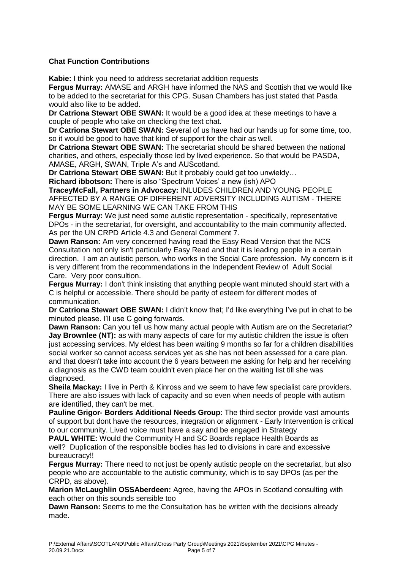### **Chat Function Contributions**

**Kabie:** I think you need to address secretariat addition requests

**Fergus Murray:** AMASE and ARGH have informed the NAS and Scottish that we would like to be added to the secretariat for this CPG. Susan Chambers has just stated that Pasda would also like to be added.

**Dr Catriona Stewart OBE SWAN:** It would be a good idea at these meetings to have a couple of people who take on checking the text chat.

**Dr Catriona Stewart OBE SWAN:** Several of us have had our hands up for some time, too, so it would be good to have that kind of support for the chair as well.

**Dr Catriona Stewart OBE SWAN:** The secretariat should be shared between the national charities, and others, especially those led by lived experience. So that would be PASDA, AMASE, ARGH, SWAN, Triple A's and AUScotland.

**Dr Catriona Stewart OBE SWAN:** But it probably could get too unwieldy…

**Richard ibbotson:** There is also "Spectrum Voices' a new (ish) APO

**TraceyMcFall, Partners in Advocacy:** INLUDES CHILDREN AND YOUNG PEOPLE AFFECTED BY A RANGE OF DIFFERENT ADVERSITY INCLUDING AUTISM - THERE MAY BE SOME LEARNING WE CAN TAKE FROM THIS

**Fergus Murray:** We just need some autistic representation - specifically, representative DPOs - in the secretariat, for oversight, and accountability to the main community affected. As per the UN CRPD Article 4.3 and General Comment 7.

**Dawn Ranson:** Am very concerned having read the Easy Read Version that the NCS Consultation not only isn't particularly Easy Read and that it is leading people in a certain direction. I am an autistic person, who works in the Social Care profession. My concern is it is very different from the recommendations in the Independent Review of Adult Social Care. Very poor consultion.

**Fergus Murray:** I don't think insisting that anything people want minuted should start with a C is helpful or accessible. There should be parity of esteem for different modes of communication.

**Dr Catriona Stewart OBE SWAN:** I didn't know that; I'd like everything I've put in chat to be minuted please. I'll use C going forwards.

**Dawn Ranson:** Can you tell us how many actual people with Autism are on the Secretariat? **Jay Brownlee (NT):** as with many aspects of care for my autistic children the issue is often just accessing services. My eldest has been waiting 9 months so far for a children disabilities social worker so cannot access services yet as she has not been assessed for a care plan. and that doesn't take into account the 6 years between me asking for help and her receiving a diagnosis as the CWD team couldn't even place her on the waiting list till she was diagnosed.

**Sheila Mackay:** I live in Perth & Kinross and we seem to have few specialist care providers. There are also issues with lack of capacity and so even when needs of people with autism are identified, they can't be met.

**Pauline Grigor- Borders Additional Needs Group**: The third sector provide vast amounts of support but dont have the resources, integration or alignment - Early Intervention is critical to our community. Lived voice must have a say and be engaged in Strategy

**PAUL WHITE:** Would the Community H and SC Boards replace Health Boards as well? Duplication of the responsible bodies has led to divisions in care and excessive bureaucracy!!

**Fergus Murray:** There need to not just be openly autistic people on the secretariat, but also people who are accountable to the autistic community, which is to say DPOs (as per the CRPD, as above).

**Marion McLaughlin OSSAberdeen:** Agree, having the APOs in Scotland consulting with each other on this sounds sensible too

**Dawn Ranson:** Seems to me the Consultation has be written with the decisions already made.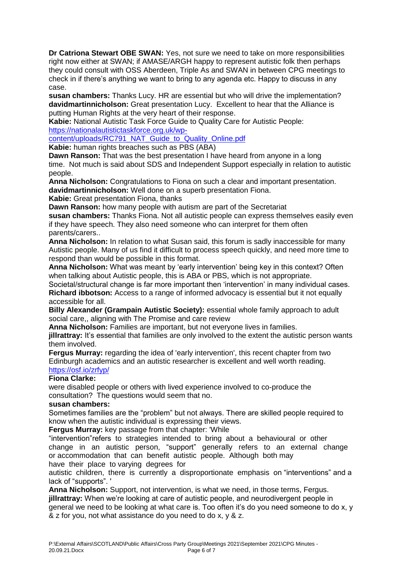**Dr Catriona Stewart OBE SWAN:** Yes, not sure we need to take on more responsibilities right now either at SWAN; if AMASE/ARGH happy to represent autistic folk then perhaps they could consult with OSS Aberdeen, Triple As and SWAN in between CPG meetings to check in if there's anything we want to bring to any agenda etc. Happy to discuss in any case.

**susan chambers:** Thanks Lucy. HR are essential but who will drive the implementation? **davidmartinnicholson:** Great presentation Lucy. Excellent to hear that the Alliance is putting Human Rights at the very heart of their response.

**Kabie:** National Autistic Task Force Guide to Quality Care for Autistic People:

[https://nationalautistictaskforce.org.uk/wp-](https://linkprotect.cudasvc.com/url?a=https%3a%2f%2fnationalautistictaskforce.org.uk%2fwp-content%2fuploads%2fRC791_NAT_Guide_to_Quality_Online.pdf&c=E,1,K-m0MyAHBnyuSdOCvU_27FeYigIg-FDDdQ_1qPVb2EzFWRqym09EhskGD1QBLcG8sB_z5WA0JkecMh4TMkoyFuKFHG0qJN08MYJH1Hw9zL3CqJY,&typo=1)

[content/uploads/RC791\\_NAT\\_Guide\\_to\\_Quality\\_Online.pdf](https://linkprotect.cudasvc.com/url?a=https%3a%2f%2fnationalautistictaskforce.org.uk%2fwp-content%2fuploads%2fRC791_NAT_Guide_to_Quality_Online.pdf&c=E,1,K-m0MyAHBnyuSdOCvU_27FeYigIg-FDDdQ_1qPVb2EzFWRqym09EhskGD1QBLcG8sB_z5WA0JkecMh4TMkoyFuKFHG0qJN08MYJH1Hw9zL3CqJY,&typo=1)

**Kabie:** human rights breaches such as PBS (ABA)

**Dawn Ranson:** That was the best presentation I have heard from anyone in a long time. Not much is said about SDS and Independent Support especially in relation to autistic people.

**Anna Nicholson:** Congratulations to Fiona on such a clear and important presentation. **davidmartinnicholson:** Well done on a superb presentation Fiona.

**Kabie:** Great presentation Fiona, thanks

**Dawn Ranson:** how many people with autism are part of the Secretariat

**susan chambers:** Thanks Fiona. Not all autistic people can express themselves easily even if they have speech. They also need someone who can interpret for them often parents/carers..

**Anna Nicholson:** In relation to what Susan said, this forum is sadly inaccessible for many Autistic people. Many of us find it difficult to process speech quickly, and need more time to respond than would be possible in this format.

**Anna Nicholson:** What was meant by 'early intervention' being key in this context? Often when talking about Autistic people, this is ABA or PBS, which is not appropriate.

Societal/structural change is far more important then 'intervention' in many individual cases. **Richard ibbotson:** Access to a range of informed advocacy is essential but it not equally accessible for all.

**Billy Alexander (Grampain Autistic Society):** essential whole family approach to adult social care., aligning with The Promise and care review

**Anna Nicholson:** Families are important, but not everyone lives in families.

jillrattray: It's essential that families are only involved to the extent the autistic person wants them involved.

**Fergus Murray:** regarding the idea of 'early intervention', this recent chapter from two Edinburgh academics and an autistic researcher is excellent and well worth reading. [https://osf.io/zrfyp/](https://linkprotect.cudasvc.com/url?a=https%3a%2f%2fosf.io%2fzrfyp%2f&c=E,1,8oA6j-YSulOIBv3seJXapfofDKcJ348K4yOKIHzLCt1na-PiV5Lhr4et6Iz8eMeIXtfAz1_h2BST8_rqxF92EugAGXN7U72qt4QYddwujYsMe0jsrAqGkA,,&typo=1)

#### **Fiona Clarke:**

were disabled people or others with lived experience involved to co-produce the consultation? The questions would seem that no.

#### **susan chambers:**

Sometimes families are the "problem" but not always. There are skilled people required to know when the autistic individual is expressing their views.

**Fergus Murray:** key passage from that chapter: 'While

"intervention"refers to strategies intended to bring about a behavioural or other change in an autistic person, "support" generally refers to an external change or accommodation that can benefit autistic people. Although both may have their place to varying degrees for

autistic children, there is currently a disproportionate emphasis on "interventions" and a lack of "supports". '

**Anna Nicholson:** Support, not intervention, is what we need, in those terms, Fergus. **jillrattray:** When we're looking at care of autistic people, and neurodivergent people in general we need to be looking at what care is. Too often it's do you need someone to do x, y & z for you, not what assistance do you need to do x, y & z.